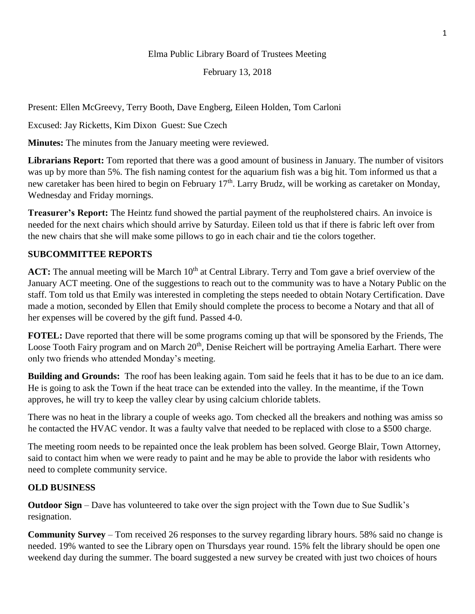# Elma Public Library Board of Trustees Meeting

February 13, 2018

Present: Ellen McGreevy, Terry Booth, Dave Engberg, Eileen Holden, Tom Carloni

Excused: Jay Ricketts, Kim Dixon Guest: Sue Czech

**Minutes:** The minutes from the January meeting were reviewed.

**Librarians Report:** Tom reported that there was a good amount of business in January. The number of visitors was up by more than 5%. The fish naming contest for the aquarium fish was a big hit. Tom informed us that a new caretaker has been hired to begin on February  $17<sup>th</sup>$ . Larry Brudz, will be working as caretaker on Monday, Wednesday and Friday mornings.

**Treasurer's Report:** The Heintz fund showed the partial payment of the reupholstered chairs. An invoice is needed for the next chairs which should arrive by Saturday. Eileen told us that if there is fabric left over from the new chairs that she will make some pillows to go in each chair and tie the colors together.

# **SUBCOMMITTEE REPORTS**

ACT: The annual meeting will be March 10<sup>th</sup> at Central Library. Terry and Tom gave a brief overview of the January ACT meeting. One of the suggestions to reach out to the community was to have a Notary Public on the staff. Tom told us that Emily was interested in completing the steps needed to obtain Notary Certification. Dave made a motion, seconded by Ellen that Emily should complete the process to become a Notary and that all of her expenses will be covered by the gift fund. Passed 4-0.

**FOTEL:** Dave reported that there will be some programs coming up that will be sponsored by the Friends, The Loose Tooth Fairy program and on March 20<sup>th</sup>, Denise Reichert will be portraying Amelia Earhart. There were only two friends who attended Monday's meeting.

**Building and Grounds:** The roof has been leaking again. Tom said he feels that it has to be due to an ice dam. He is going to ask the Town if the heat trace can be extended into the valley. In the meantime, if the Town approves, he will try to keep the valley clear by using calcium chloride tablets.

There was no heat in the library a couple of weeks ago. Tom checked all the breakers and nothing was amiss so he contacted the HVAC vendor. It was a faulty valve that needed to be replaced with close to a \$500 charge.

The meeting room needs to be repainted once the leak problem has been solved. George Blair, Town Attorney, said to contact him when we were ready to paint and he may be able to provide the labor with residents who need to complete community service.

### **OLD BUSINESS**

**Outdoor Sign** – Dave has volunteered to take over the sign project with the Town due to Sue Sudlik's resignation.

**Community Survey** – Tom received 26 responses to the survey regarding library hours. 58% said no change is needed. 19% wanted to see the Library open on Thursdays year round. 15% felt the library should be open one weekend day during the summer. The board suggested a new survey be created with just two choices of hours